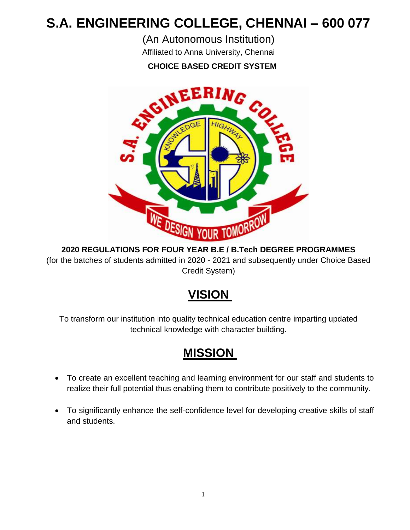# **S.A. ENGINEERING COLLEGE, CHENNAI – 600 077**

(An Autonomous Institution)

Affiliated to Anna University, Chennai



**2020 REGULATIONS FOR FOUR YEAR B.E / B.Tech DEGREE PROGRAMMES** (for the batches of students admitted in 2020 - 2021 and subsequently under Choice Based Credit System)

# **VISION**

To transform our institution into quality technical education centre imparting updated technical knowledge with character building.

# **MISSION**

- To create an excellent teaching and learning environment for our staff and students to realize their full potential thus enabling them to contribute positively to the community.
- To significantly enhance the self-confidence level for developing creative skills of staff and students.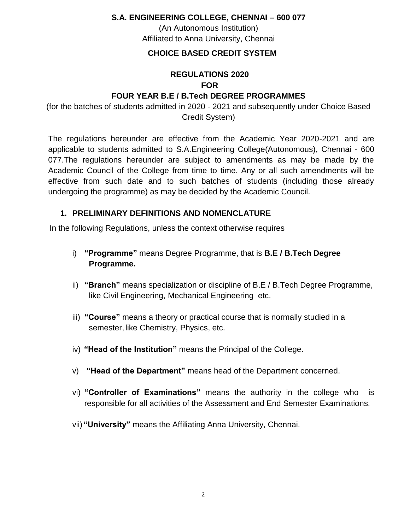**S.A. ENGINEERING COLLEGE, CHENNAI – 600 077**

(An Autonomous Institution) Affiliated to Anna University, Chennai

#### **CHOICE BASED CREDIT SYSTEM**

#### **REGULATIONS 2020 FOR**

#### **FOUR YEAR B.E / B.Tech DEGREE PROGRAMMES**

(for the batches of students admitted in 2020 - 2021 and subsequently under Choice Based Credit System)

The regulations hereunder are effective from the Academic Year 2020-2021 and are applicable to students admitted to S.A.Engineering College(Autonomous), Chennai - 600 077.The regulations hereunder are subject to amendments as may be made by the Academic Council of the College from time to time. Any or all such amendments will be effective from such date and to such batches of students (including those already undergoing the programme) as may be decided by the Academic Council.

#### **1. PRELIMINARY DEFINITIONS AND NOMENCLATURE**

In the following Regulations, unless the context otherwise requires

- i) **"Programme"** means Degree Programme, that is **B.E / B.Tech Degree Programme.**
- ii) **"Branch"** means specialization or discipline of B.E / B.Tech Degree Programme, **like Civil Engineering, Mechanical Engineering etc.**
- iii) **"Course"** means a theory or practical course that is normally studied in a semester, like Chemistry, Physics, etc.
- iv) **"Head of the Institution"** means the Principal of the College.
- v) **"Head of the Department"** means head of the Department concerned.
- vi) **"Controller of Examinations"** means the authority in the college who is responsible for all activities of the Assessment and End Semester Examinations.
- vii) **"University"** means the Affiliating Anna University, Chennai.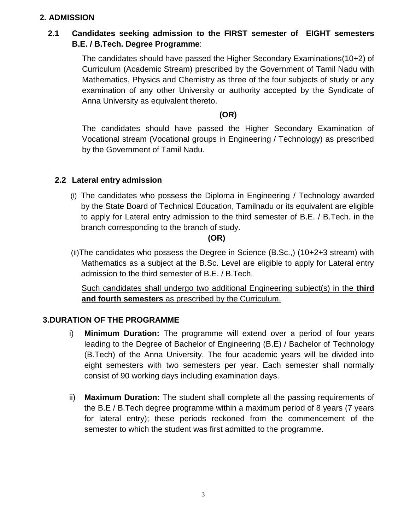#### **2. ADMISSION**

## **2.1 Candidates seeking admission to the FIRST semester of EIGHT semesters B.E. / B.Tech. Degree Programme**:

The candidates should have passed the Higher Secondary Examinations(10+2) of Curriculum (Academic Stream) prescribed by the Government of Tamil Nadu with Mathematics, Physics and Chemistry as three of the four subjects of study or any examination of any other University or authority accepted by the Syndicate of Anna University as equivalent thereto.

**(OR)**

The candidates should have passed the Higher Secondary Examination of Vocational stream (Vocational groups in Engineering / Technology) as prescribed by the Government of Tamil Nadu.

#### **2.2 Lateral entry admission**

(i) The candidates who possess the Diploma in Engineering / Technology awarded by the State Board of Technical Education, Tamilnadu or its equivalent are eligible to apply for Lateral entry admission to the third semester of B.E. / B.Tech. in the branch corresponding to the branch of study.

#### **(OR)**

(ii)The candidates who possess the Degree in Science (B.Sc.,) (10+2+3 stream) with Mathematics as a subject at the B.Sc. Level are eligible to apply for Lateral entry admission to the third semester of B.E. / B.Tech.

Such candidates shall undergo two additional Engineering subject(s) in the **third and fourth semesters** as prescribed by the Curriculum.

#### **3.DURATION OF THE PROGRAMME**

- i) **Minimum Duration:** The programme will extend over a period of four years leading to the Degree of Bachelor of Engineering (B.E) / Bachelor of Technology (B.Tech) of the Anna University. The four academic years will be divided into eight semesters with two semesters per year. Each semester shall normally consist of 90 working days including examination days.
- ii) **Maximum Duration:** The student shall complete all the passing requirements of the B.E / B.Tech degree programme within a maximum period of 8 years (7 years for lateral entry); these periods reckoned from the commencement of the semester to which the student was first admitted to the programme.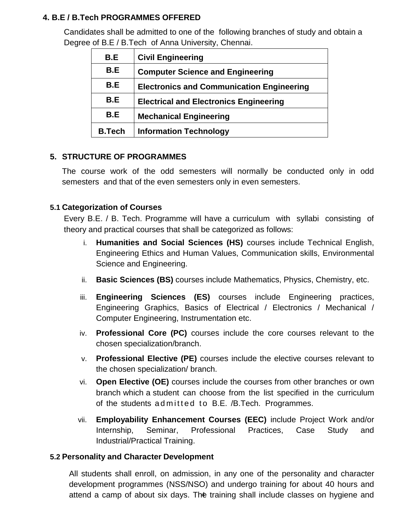#### **4. B.E / B.Tech PROGRAMMES OFFERED**

Candidates shall be admitted to one of the following branches of study and obtain a Degree of B.E / B.Tech of Anna University, Chennai.

| B.E           | <b>Civil Engineering</b>                         |
|---------------|--------------------------------------------------|
| B.E           | <b>Computer Science and Engineering</b>          |
| B.E           | <b>Electronics and Communication Engineering</b> |
| B.E           | <b>Electrical and Electronics Engineering</b>    |
| B.E           | <b>Mechanical Engineering</b>                    |
| <b>B.Tech</b> | <b>Information Technology</b>                    |

#### **5. STRUCTURE OF PROGRAMMES**

The course work of the odd semesters will normally be conducted only in odd semesters and that of the even semesters only in even semesters.

#### **5.1 Categorization of Courses**

Every B.E. / B. Tech. Programme will have a curriculum with syllabi consisting of theory and practical courses that shall be categorized as follows:

- i. **Humanities and Social Sciences (HS)** courses include Technical English, Engineering Ethics and Human Values, Communication skills, Environmental Science and Engineering.
- ii. **Basic Sciences (BS)** courses include Mathematics, Physics, Chemistry, etc.
- iii. **Engineering Sciences (ES)** courses include Engineering practices, Engineering Graphics, Basics of Electrical / Electronics / Mechanical / Computer Engineering, Instrumentation etc.
- iv. **Professional Core (PC)** courses include the core courses relevant to the chosen specialization/branch.
- v. **Professional Elective (PE)** courses include the elective courses relevant to the chosen specialization/ branch.
- vi. **Open Elective (OE)** courses include the courses from other branches or own branch which a student can choose from the list specified in the curriculum of the students admitted to B.E. /B.Tech. Programmes.
- vii. **Employability Enhancement Courses (EEC)** include Project Work and/or Internship, Seminar, Professional Practices, Case Study and Industrial/Practical Training.

#### **5.2 Personality and Character Development**

attend a camp of about six days. The training shall include classes on hygiene and All students shall enroll, on admission, in any one of the personality and character development programmes (NSS/NSO) and undergo training for about 40 hours and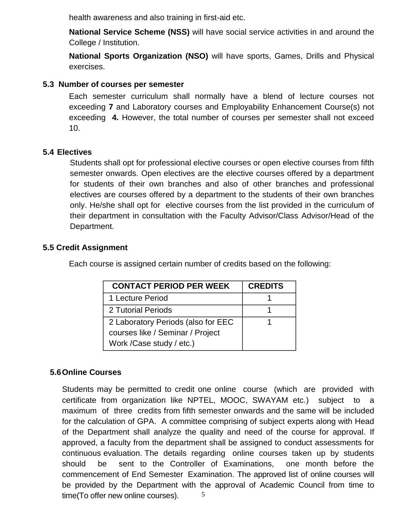health awareness and also training in first-aid etc.

**National Service Scheme (NSS)** will have social service activities in and around the College / Institution.

**National Sports Organization (NSO)** will have sports, Games, Drills and Physical exercises.

#### **5.3 Number of courses per semester**

Each semester curriculum shall normally have a blend of lecture courses not exceeding **7** and Laboratory courses and Employability Enhancement Course(s) not exceeding **4.** However, the total number of courses per semester shall not exceed 10.

#### **5.4 Electives**

Students shall opt for professional elective courses or open elective courses from fifth semester onwards. Open electives are the elective courses offered by a department for students of their own branches and also of other branches and professional electives are courses offered by a department to the students of their own branches only. He/she shall opt for elective courses from the list provided in the curriculum of their department in consultation with the Faculty Advisor/Class Advisor/Head of the Department.

#### **5.5 Credit Assignment**

Each course is assigned certain number of credits based on the following:

| <b>CONTACT PERIOD PER WEEK</b>                                                                      | <b>CREDITS</b> |
|-----------------------------------------------------------------------------------------------------|----------------|
| 1 Lecture Period                                                                                    |                |
| 2 Tutorial Periods                                                                                  |                |
| 2 Laboratory Periods (also for EEC<br>courses like / Seminar / Project<br>Work / Case study / etc.) |                |

#### **5.6Online Courses**

5 Students may be permitted to credit one online course (which are provided with certificate from organization like NPTEL, MOOC, SWAYAM etc.) subject to a maximum of three credits from fifth semester onwards and the same will be included for the calculation of GPA. A committee comprising of subject experts along with Head of the Department shall analyze the quality and need of the course for approval. If approved, a faculty from the department shall be assigned to conduct assessments for continuous evaluation. The details regarding online courses taken up by students should be sent to the Controller of Examinations, one month before the commencement of End Semester Examination. The approved list of online courses will be provided by the Department with the approval of Academic Council from time to time(To offer new online courses).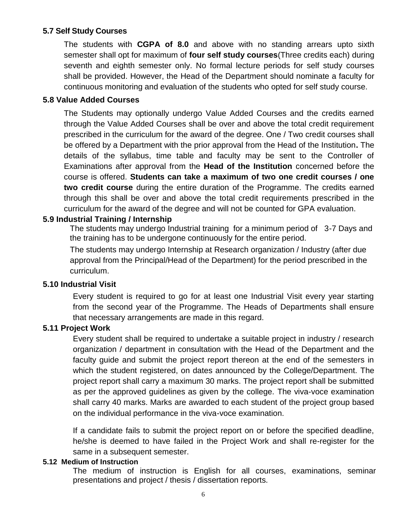#### **5.7 Self Study Courses**

The students with **CGPA of 8.0** and above with no standing arrears upto sixth semester shall opt for maximum of **four self study courses**(Three credits each) during seventh and eighth semester only. No formal lecture periods for self study courses shall be provided. However, the Head of the Department should nominate a faculty for continuous monitoring and evaluation of the students who opted for self study course.

#### **5.8 Value Added Courses**

The Students may optionally undergo Value Added Courses and the credits earned through the Value Added Courses shall be over and above the total credit requirement prescribed in the curriculum for the award of the degree. One / Two credit courses shall be offered by a Department with the prior approval from the Head of the Institution**.** The details of the syllabus, time table and faculty may be sent to the Controller of Examinations after approval from the **Head of the Institution** concerned before the course is offered. **Students can take a maximum of two one credit courses / one two credit course** during the entire duration of the Programme. The credits earned through this shall be over and above the total credit requirements prescribed in the curriculum for the award of the degree and will not be counted for GPA evaluation.

#### **5.9 Industrial Training / Internship**

The students may undergo Industrial training for a minimum period of 3-7 Days and the training has to be undergone continuously for the entire period.

The students may undergo Internship at Research organization / Industry (after due approval from the Principal/Head of the Department) for the period prescribed in the curriculum.

#### **5.10 Industrial Visit**

Every student is required to go for at least one Industrial Visit every year starting from the second year of the Programme. The Heads of Departments shall ensure that necessary arrangements are made in this regard.

#### **5.11 Project Work**

Every student shall be required to undertake a suitable project in industry / research organization / department in consultation with the Head of the Department and the faculty guide and submit the project report thereon at the end of the semesters in which the student registered, on dates announced by the College/Department. The project report shall carry a maximum 30 marks. The project report shall be submitted as per the approved guidelines as given by the college. The viva-voce examination shall carry 40 marks. Marks are awarded to each student of the project group based on the individual performance in the viva-voce examination.

If a candidate fails to submit the project report on or before the specified deadline, he/she is deemed to have failed in the Project Work and shall re-register for the same in a subsequent semester.

#### **5.12 Medium of Instruction**

The medium of instruction is English for all courses, examinations, seminar presentations and project / thesis / dissertation reports.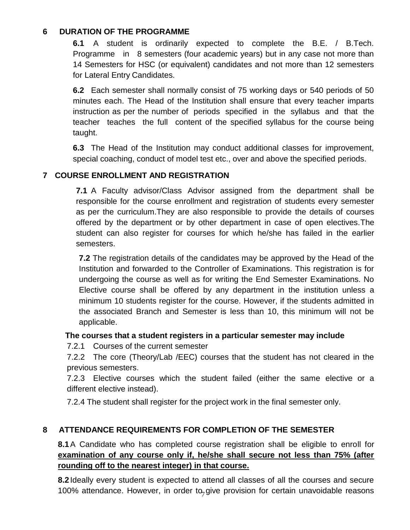#### **6 DURATION OF THE PROGRAMME**

**6.1** A student is ordinarily expected to complete the B.E. / B.Tech. Programme in 8 semesters (four academic years) but in any case not more than 14 Semesters for HSC (or equivalent) candidates and not more than 12 semesters for Lateral Entry Candidates.

**6.2** Each semester shall normally consist of 75 working days or 540 periods of 50 minutes each. The Head of the Institution shall ensure that every teacher imparts instruction as per the number of periods specified in the syllabus and that the teacher teaches the full content of the specified syllabus for the course being taught.

**6.3** The Head of the Institution may conduct additional classes for improvement, special coaching, conduct of model test etc., over and above the specified periods.

### **7 COURSE ENROLLMENT AND REGISTRATION**

**7.1** A Faculty advisor/Class Advisor assigned from the department shall be responsible for the course enrollment and registration of students every semester as per the curriculum.They are also responsible to provide the details of courses offered by the department or by other department in case of open electives.The student can also register for courses for which he/she has failed in the earlier semesters.

**7.2** The registration details of the candidates may be approved by the Head of the Institution and forwarded to the Controller of Examinations. This registration is for undergoing the course as well as for writing the End Semester Examinations. No Elective course shall be offered by any department in the institution unless a minimum 10 students register for the course. However, if the students admitted in the associated Branch and Semester is less than 10, this minimum will not be applicable.

#### **The courses that a student registers in a particular semester may include**

7.2.1 Courses of the current semester

7.2.2 The core (Theory/Lab /EEC) courses that the student has not cleared in the previous semesters.

7.2.3 Elective courses which the student failed (either the same elective or a different elective instead).

7.2.4 The student shall register for the project work in the final semester only.

## **8 ATTENDANCE REQUIREMENTS FOR COMPLETION OF THE SEMESTER**

**8.1**A Candidate who has completed course registration shall be eligible to enroll for **examination of any course only if, he/she shall secure not less than 75% (after rounding off to the nearest integer) in that course.**

100% attendance. However, in order to<sub>7</sub> give provision for certain unavoidable reasons **8.2**Ideally every student is expected to attend all classes of all the courses and secure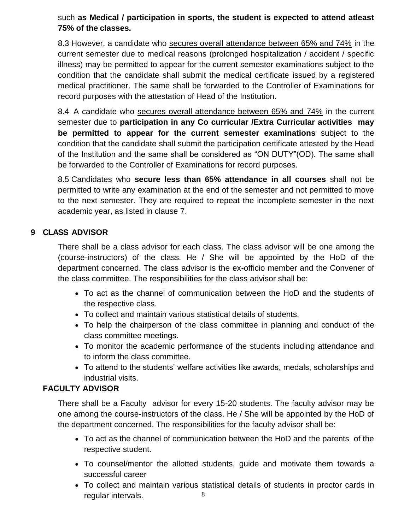such **as Medical / participation in sports, the student is expected to attend atleast 75% of the classes.**

8.3 However, a candidate who secures overall attendance between 65% and 74% in the current semester due to medical reasons (prolonged hospitalization / accident / specific illness) may be permitted to appear for the current semester examinations subject to the condition that the candidate shall submit the medical certificate issued by a registered medical practitioner. The same shall be forwarded to the Controller of Examinations for record purposes with the attestation of Head of the Institution.

8.4 A candidate who secures overall attendance between 65% and 74% in the current semester due to **participation in any Co curricular /Extra Curricular activities may be permitted to appear for the current semester examinations** subject to the condition that the candidate shall submit the participation certificate attested by the Head of the Institution and the same shall be considered as "ON DUTY"(OD). The same shall be forwarded to the Controller of Examinations for record purposes.

8.5 Candidates who **secure less than 65% attendance in all courses** shall not be permitted to write any examination at the end of the semester and not permitted to move to the next semester. They are required to repeat the incomplete semester in the next academic year, as listed in clause 7.

#### **9 CLASS ADVISOR**

There shall be a class advisor for each class. The class advisor will be one among the (course-instructors) of the class. He / She will be appointed by the HoD of the department concerned. The class advisor is the ex-officio member and the Convener of the class committee. The responsibilities for the class advisor shall be:

- To act as the channel of communication between the HoD and the students of the respective class.
- To collect and maintain various statistical details of students.
- To help the chairperson of the class committee in planning and conduct of the class committee meetings.
- To monitor the academic performance of the students including attendance and to inform the class committee.
- To attend to the students' welfare activities like awards, medals, scholarships and industrial visits.

#### **FACULTY ADVISOR**

There shall be a Faculty advisor for every 15-20 students. The faculty advisor may be one among the course-instructors of the class. He / She will be appointed by the HoD of the department concerned. The responsibilities for the faculty advisor shall be:

- To act as the channel of communication between the HoD and the parents of the respective student.
- To counsel/mentor the allotted students, guide and motivate them towards a successful career
- 8 To collect and maintain various statistical details of students in proctor cards in regular intervals.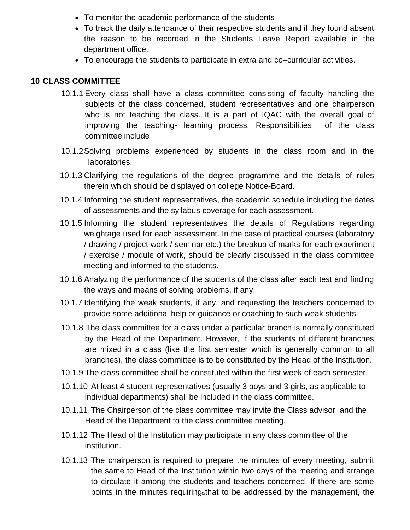- To monitor the academic performance of the students
- To track the daily attendance of their respective students and if they found absent the reason to be recorded in the Students Leave Report available in the department office.
- To encourage the students to participate in extra and co–curricular activities.

#### **10 CLASS COMMITTEE**

- 10.1.1 Every class shall have a class committee consisting of faculty handling the subjects of the class concerned, student representatives and one chairperson who is not teaching the class. It is a part of IQAC with the overall goal of improving the teaching- learning process. Responsibilities of the class committee include
- 10.1.2Solving problems experienced by students in the class room and in the laboratories.
- 10.1.3 Clarifying the regulations of the degree programme and the details of rules therein which should be displayed on college Notice-Board.
- 10.1.4 Informing the student representatives, the academic schedule including the dates of assessments and the syllabus coverage for each assessment.
- 10.1.5 Informing the student representatives the details of Regulations regarding weightage used for each assessment. In the case of practical courses (laboratory / drawing / project work / seminar etc.) the breakup of marks for each experiment / exercise / module of work, should be clearly discussed in the class committee meeting and informed to the students.
- 10.1.6 Analyzing the performance of the students of the class after each test and finding the ways and means of solving problems, if any.
- 10.1.7 Identifying the weak students, if any, and requesting the teachers concerned to provide some additional help or guidance or coaching to such weak students.
- 10.1.8 The class committee for a class under a particular branch is normally constituted by the Head of the Department. However, if the students of different branches are mixed in a class (like the first semester which is generally common to all branches), the class committee is to be constituted by the Head of the Institution.
- 10.1.9 The class committee shall be constituted within the first week of each semester.
- 10.1.10 At least 4 student representatives (usually 3 boys and 3 girls, as applicable to individual departments) shall be included in the class committee.
- 10.1.11 The Chairperson of the class committee may invite the Class advisor and the Head of the Department to the class committee meeting.
- 10.1.12 The Head of the Institution may participate in any class committee of the institution.
- points in the minutes requiring<sub>9</sub>that to be addressed by the management, the 10.1.13 The chairperson is required to prepare the minutes of every meeting, submit the same to Head of the Institution within two days of the meeting and arrange to circulate it among the students and teachers concerned. If there are some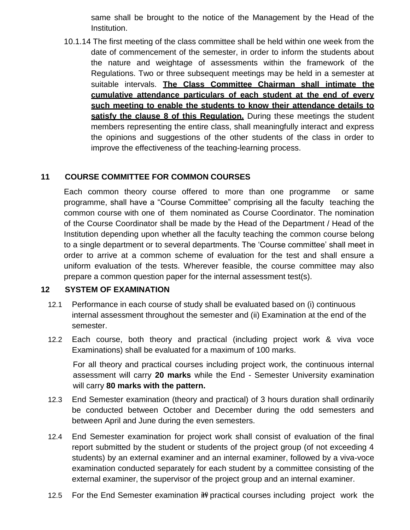same shall be brought to the notice of the Management by the Head of the Institution.

10.1.14 The first meeting of the class committee shall be held within one week from the date of commencement of the semester, in order to inform the students about the nature and weightage of assessments within the framework of the Regulations. Two or three subsequent meetings may be held in a semester at suitable intervals. **The Class Committee Chairman shall intimate the cumulative attendance particulars of each student at the end of every such meeting to enable the students to know their attendance details to satisfy the clause 8 of this Regulation.** During these meetings the student members representing the entire class, shall meaningfully interact and express the opinions and suggestions of the other students of the class in order to improve the effectiveness of the teaching-learning process.

### **11 COURSE COMMITTEE FOR COMMON COURSES**

Each common theory course offered to more than one programme or same programme, shall have a "Course Committee" comprising all the faculty teaching the common course with one of them nominated as Course Coordinator. The nomination of the Course Coordinator shall be made by the Head of the Department / Head of the Institution depending upon whether all the faculty teaching the common course belong to a single department or to several departments. The 'Course committee' shall meet in order to arrive at a common scheme of evaluation for the test and shall ensure a uniform evaluation of the tests. Wherever feasible, the course committee may also prepare a common question paper for the internal assessment test(s).

#### **12 SYSTEM OF EXAMINATION**

- 12.1 Performance in each course of study shall be evaluated based on (i) continuous internal assessment throughout the semester and (ii) Examination at the end of the semester.
- 12.2 Each course, both theory and practical (including project work & viva voce Examinations) shall be evaluated for a maximum of 100 marks.

For all theory and practical courses including project work, the continuous internal assessment will carry **20 marks** while the End - Semester University examination will carry **80 marks with the pattern.**

- 12.3 End Semester examination (theory and practical) of 3 hours duration shall ordinarily be conducted between October and December during the odd semesters and between April and June during the even semesters.
- 12.4 End Semester examination for project work shall consist of evaluation of the final report submitted by the student or students of the project group (of not exceeding 4 students) by an external examiner and an internal examiner, followed by a viva-voce examination conducted separately for each student by a committee consisting of the external examiner, the supervisor of the project group and an internal examiner.
- 12.5 For the End Semester examination in practical courses including project work the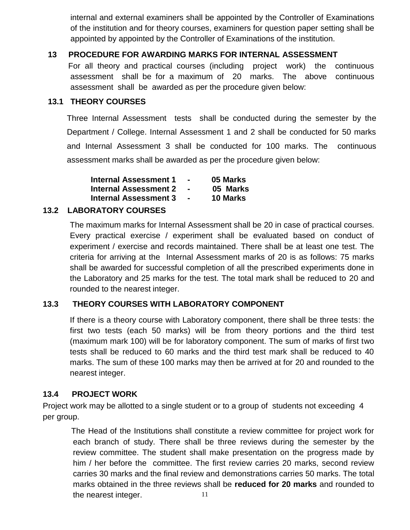internal and external examiners shall be appointed by the Controller of Examinations of the institution and for theory courses, examiners for question paper setting shall be appointed by appointed by the Controller of Examinations of the institution.

#### **13 PROCEDURE FOR AWARDING MARKS FOR INTERNAL ASSESSMENT**

For all theory and practical courses (including project work) the continuous assessment shall be for a maximum of 20 marks. The above continuous assessment shall be awarded as per the procedure given below:

#### **13.1 THEORY COURSES**

Three Internal Assessment tests shall be conducted during the semester by the Department / College. Internal Assessment 1 and 2 shall be conducted for 50 marks and Internal Assessment 3 shall be conducted for 100 marks. The continuous assessment marks shall be awarded as per the procedure given below:

| <b>Internal Assessment 1</b> | $\blacksquare$ | 05 Marks        |
|------------------------------|----------------|-----------------|
| <b>Internal Assessment 2</b> | $\sim$         | 05 Marks        |
| <b>Internal Assessment 3</b> | $\sim$         | <b>10 Marks</b> |

#### **13.2 LABORATORY COURSES**

The maximum marks for Internal Assessment shall be 20 in case of practical courses. Every practical exercise / experiment shall be evaluated based on conduct of experiment / exercise and records maintained. There shall be at least one test. The criteria for arriving at the Internal Assessment marks of 20 is as follows: 75 marks shall be awarded for successful completion of all the prescribed experiments done in the Laboratory and 25 marks for the test. The total mark shall be reduced to 20 and rounded to the nearest integer.

#### **13.3 THEORY COURSES WITH LABORATORY COMPONENT**

If there is a theory course with Laboratory component, there shall be three tests: the first two tests (each 50 marks) will be from theory portions and the third test (maximum mark 100) will be for laboratory component. The sum of marks of first two tests shall be reduced to 60 marks and the third test mark shall be reduced to 40 marks. The sum of these 100 marks may then be arrived at for 20 and rounded to the nearest integer.

#### **13.4 PROJECT WORK**

Project work may be allotted to a single student or to a group of students not exceeding 4 per group.

11 The Head of the Institutions shall constitute a review committee for project work for each branch of study. There shall be three reviews during the semester by the review committee. The student shall make presentation on the progress made by him / her before the committee. The first review carries 20 marks, second review carries 30 marks and the final review and demonstrations carries 50 marks. The total marks obtained in the three reviews shall be **reduced for 20 marks** and rounded to the nearest integer.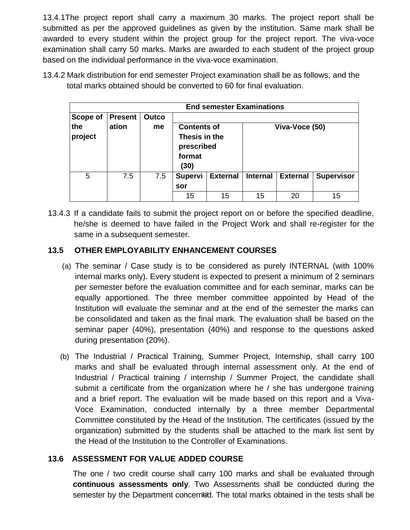13.4.1The project report shall carry a maximum 30 marks. The project report shall be submitted as per the approved guidelines as given by the institution. Same mark shall be awarded to every student within the project group for the project report. The viva-voce examination shall carry 50 marks. Marks are awarded to each student of the project group based on the individual performance in the viva-voce examination.

13.4.2 Mark distribution for end semester Project examination shall be as follows, and the total marks obtained should be converted to 60 for final evaluation.

| <b>End semester Examinations</b> |                |       |                                                                     |                 |                 |                 |                   |
|----------------------------------|----------------|-------|---------------------------------------------------------------------|-----------------|-----------------|-----------------|-------------------|
| Scope of                         | <b>Present</b> | Outco |                                                                     |                 |                 |                 |                   |
| the<br>project                   | ation          | me    | <b>Contents of</b><br>Thesis in the<br>prescribed<br>format<br>(30) |                 | Viva-Voce (50)  |                 |                   |
| 5                                | 7.5            | 7.5   | <b>Supervi</b>                                                      | <b>External</b> | <b>Internal</b> | <b>External</b> | <b>Supervisor</b> |
|                                  |                |       | sor                                                                 |                 |                 |                 |                   |
|                                  |                |       | 15                                                                  | 15              | 15              | 20              | 15                |

13.4.3 If a candidate fails to submit the project report on or before the specified deadline, he/she is deemed to have failed in the Project Work and shall re-register for the same in a subsequent semester.

### **13.5 OTHER EMPLOYABILITY ENHANCEMENT COURSES**

- (a) The seminar / Case study is to be considered as purely INTERNAL (with 100% internal marks only). Every student is expected to present a minimum of 2 seminars per semester before the evaluation committee and for each seminar, marks can be equally apportioned. The three member committee appointed by Head of the Institution will evaluate the seminar and at the end of the semester the marks can be consolidated and taken as the final mark. The evaluation shall be based on the seminar paper (40%), presentation (40%) and response to the questions asked during presentation (20%).
- (b) The Industrial / Practical Training, Summer Project, Internship, shall carry 100 marks and shall be evaluated through internal assessment only. At the end of Industrial / Practical training / internship / Summer Project, the candidate shall submit a certificate from the organization where he / she has undergone training and a brief report. The evaluation will be made based on this report and a Viva-Voce Examination, conducted internally by a three member Departmental Committee constituted by the Head of the Institution. The certificates (issued by the organization) submitted by the students shall be attached to the mark list sent by the Head of the Institution to the Controller of Examinations.

## **13.6 ASSESSMENT FOR VALUE ADDED COURSE**

semester by the Department concerned. The total marks obtained in the tests shall be The one / two credit course shall carry 100 marks and shall be evaluated through **continuous assessments only**. Two Assessments shall be conducted during the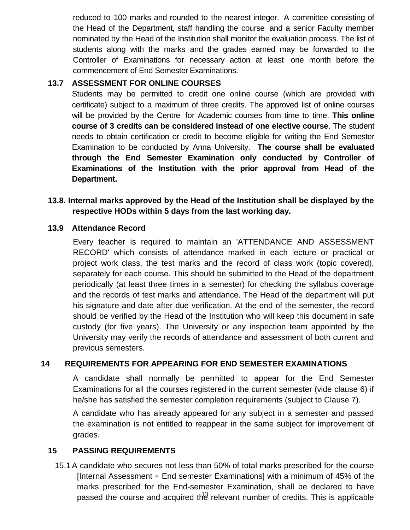reduced to 100 marks and rounded to the nearest integer. A committee consisting of the Head of the Department, staff handling the course and a senior Faculty member nominated by the Head of the Institution shall monitor the evaluation process. The list of students along with the marks and the grades earned may be forwarded to the Controller of Examinations for necessary action at least one month before the commencement of End Semester Examinations.

#### **13.7 ASSESSMENT FOR ONLINE COURSES**

Students may be permitted to credit one online course (which are provided with certificate) subject to a maximum of three credits. The approved list of online courses will be provided by the Centre for Academic courses from time to time. **This online course of 3 credits can be considered instead of one elective course**. The student needs to obtain certification or credit to become eligible for writing the End Semester Examination to be conducted by Anna University. **The course shall be evaluated through the End Semester Examination only conducted by Controller of Examinations of the Institution with the prior approval from Head of the Department.**

#### **13.8. Internal marks approved by the Head of the Institution shall be displayed by the respective HODs within 5 days from the last working day.**

#### **13.9 Attendance Record**

Every teacher is required to maintain an 'ATTENDANCE AND ASSESSMENT RECORD' which consists of attendance marked in each lecture or practical or project work class, the test marks and the record of class work (topic covered), separately for each course. This should be submitted to the Head of the department periodically (at least three times in a semester) for checking the syllabus coverage and the records of test marks and attendance. The Head of the department will put his signature and date after due verification. At the end of the semester, the record should be verified by the Head of the Institution who will keep this document in safe custody (for five years). The University or any inspection team appointed by the University may verify the records of attendance and assessment of both current and previous semesters.

#### **14 REQUIREMENTS FOR APPEARING FOR END SEMESTER EXAMINATIONS**

A candidate shall normally be permitted to appear for the End Semester Examinations for all the courses registered in the current semester (vide clause 6) if he/she has satisfied the semester completion requirements (subject to Clause 7).

A candidate who has already appeared for any subject in a semester and passed the examination is not entitled to reappear in the same subject for improvement of grades.

#### **15 PASSING REQUIREMENTS**

passed the course and acquired th $\frac{3}{2}$  relevant number of credits. This is applicable 15.1 A candidate who secures not less than 50% of total marks prescribed for the course [Internal Assessment + End semester Examinations] with a minimum of 45% of the marks prescribed for the End-semester Examination, shall be declared to have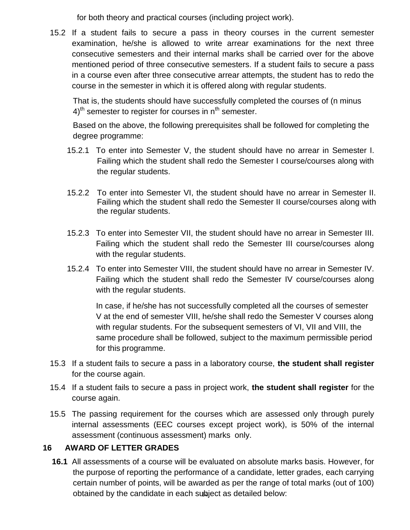for both theory and practical courses (including project work).

15.2 If a student fails to secure a pass in theory courses in the current semester examination, he/she is allowed to write arrear examinations for the next three consecutive semesters and their internal marks shall be carried over for the above mentioned period of three consecutive semesters. If a student fails to secure a pass in a course even after three consecutive arrear attempts, the student has to redo the course in the semester in which it is offered along with regular students.

That is, the students should have successfully completed the courses of (n minus  $4$ <sup>th</sup> semester to register for courses in  $n<sup>th</sup>$  semester.

Based on the above, the following prerequisites shall be followed for completing the degree programme:

- 15.2.1 To enter into Semester V, the student should have no arrear in Semester I. Failing which the student shall redo the Semester I course/courses along with the regular students.
- 15.2.2 To enter into Semester VI, the student should have no arrear in Semester II. Failing which the student shall redo the Semester II course/courses along with the regular students.
- 15.2.3 To enter into Semester VII, the student should have no arrear in Semester III. Failing which the student shall redo the Semester III course/courses along with the regular students.
- 15.2.4 To enter into Semester VIII, the student should have no arrear in Semester IV. Failing which the student shall redo the Semester IV course/courses along with the regular students.

In case, if he/she has not successfully completed all the courses of semester V at the end of semester VIII, he/she shall redo the Semester V courses along with regular students. For the subsequent semesters of VI, VII and VIII, the same procedure shall be followed, subject to the maximum permissible period for this programme.

- 15.3 If a student fails to secure a pass in a laboratory course, **the student shall register**  for the course again.
- 15.4 If a student fails to secure a pass in project work, **the student shall register** for the course again.
- 15.5 The passing requirement for the courses which are assessed only through purely internal assessments (EEC courses except project work), is 50% of the internal assessment (continuous assessment) marks only.

#### **16 AWARD OF LETTER GRADES**

obtained by the candidate in each subject as detailed below: **16.1** All assessments of a course will be evaluated on absolute marks basis. However, for the purpose of reporting the performance of a candidate, letter grades, each carrying certain number of points, will be awarded as per the range of total marks (out of 100)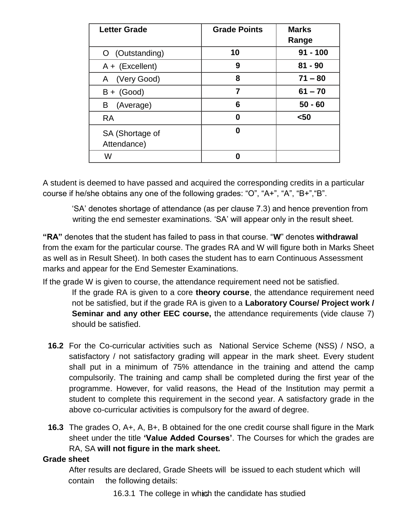| <b>Letter Grade</b> | <b>Grade Points</b> | <b>Marks</b> |
|---------------------|---------------------|--------------|
|                     |                     | Range        |
| (Outstanding)       | 10                  | $91 - 100$   |
| $A + (Excellent)$   | 9                   | $81 - 90$    |
| (Very Good)<br>A    | 8                   | $71 - 80$    |
| $B + (Good)$        | 7                   | $61 - 70$    |
| (Average)<br>B      | 6                   | $50 - 60$    |
| <b>RA</b>           | Λ                   | $50$         |
| SA (Shortage of     | 0                   |              |
| Attendance)         |                     |              |
| W                   |                     |              |

A student is deemed to have passed and acquired the corresponding credits in a particular course if he/she obtains any one of the following grades: "O", "A+", "A", "B+","B".

'SA' denotes shortage of attendance (as per clause 7.3) and hence prevention from writing the end semester examinations. 'SA' will appear only in the result sheet.

**"RA"** denotes that the student has failed to pass in that course. "**W**" denotes **withdrawal**  from the exam for the particular course. The grades RA and W will figure both in Marks Sheet as well as in Result Sheet). In both cases the student has to earn Continuous Assessment marks and appear for the End Semester Examinations.

If the grade W is given to course, the attendance requirement need not be satisfied.

- If the grade RA is given to a core **theory course**, the attendance requirement need not be satisfied, but if the grade RA is given to a **Laboratory Course/ Project work / Seminar and any other EEC course, the attendance requirements (vide clause 7)** should be satisfied.
- **16.2** For the Co-curricular activities such as National Service Scheme (NSS) / NSO, a satisfactory / not satisfactory grading will appear in the mark sheet. Every student shall put in a minimum of 75% attendance in the training and attend the camp compulsorily. The training and camp shall be completed during the first year of the programme. However, for valid reasons, the Head of the Institution may permit a student to complete this requirement in the second year. A satisfactory grade in the above co-curricular activities is compulsory for the award of degree.
- **16.3** The grades O, A+, A, B+, B obtained for the one credit course shall figure in the Mark sheet under the title **'Value Added Courses'**. The Courses for which the grades are RA, SA **will not figure in the mark sheet.**

#### **Grade sheet**

After results are declared, Grade Sheets will be issued to each student which will contain the following details:

15 16.3.1 The college in which the candidate has studied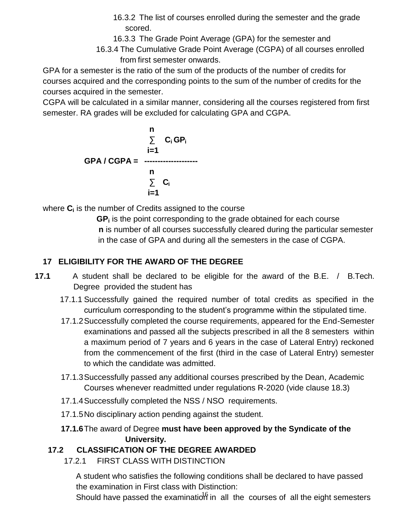- 16.3.2 The list of courses enrolled during the semester and the grade scored.
- 16.3.3 The Grade Point Average (GPA) for the semester and
- 16.3.4 The Cumulative Grade Point Average (CGPA) of all courses enrolled from first semester onwards.

GPA for a semester is the ratio of the sum of the products of the number of credits for courses acquired and the corresponding points to the sum of the number of credits for the courses acquired in the semester.

CGPA will be calculated in a similar manner, considering all the courses registered from first semester. RA grades will be excluded for calculating GPA and CGPA.

**n ∑ C<sup>i</sup> GP<sup>i</sup> i=1 GPA / CGPA = ------------------- n ∑ C<sup>i</sup> i=1**

where **C<sup>i</sup>** is the number of Credits assigned to the course

**GP<sup>i</sup>** is the point corresponding to the grade obtained for each course **n** is number of all courses successfully cleared during the particular semester in the case of GPA and during all the semesters in the case of CGPA.

# **17 ELIGIBILITY FOR THE AWARD OF THE DEGREE**

- **17.1** A student shall be declared to be eligible for the award of the B.E. / B.Tech. Degree provided the student has
	- 17.1.1 Successfully gained the required number of total credits as specified in the curriculum corresponding to the student's programme within the stipulated time.
	- 17.1.2Successfully completed the course requirements, appeared for the End-Semester examinations and passed all the subjects prescribed in all the 8 semesters within a maximum period of 7 years and 6 years in the case of Lateral Entry) reckoned from the commencement of the first (third in the case of Lateral Entry) semester to which the candidate was admitted.
	- 17.1.3Successfully passed any additional courses prescribed by the Dean, Academic Courses whenever readmitted under regulations R-2020 (vide clause 18.3)
	- 17.1.4Successfully completed the NSS / NSO requirements.
	- 17.1.5No disciplinary action pending against the student.
	- **17.1.6**The award of Degree **must have been approved by the Syndicate of the University.**

# **17.2 CLASSIFICATION OF THE DEGREE AWARDED**

17.2.1 FIRST CLASS WITH DISTINCTION

A student who satisfies the following conditions shall be declared to have passed the examination in First class with Distinction:

Should have passed the examination in all the courses of all the eight semesters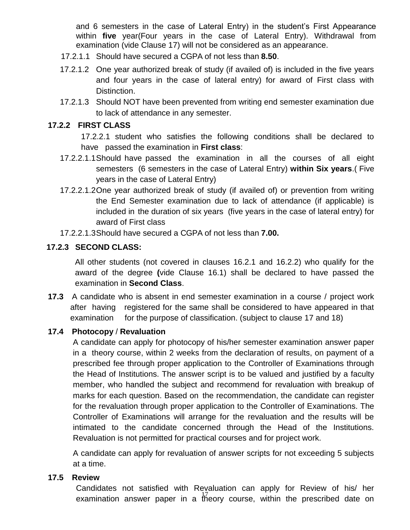and 6 semesters in the case of Lateral Entry) in the student's First Appearance within **five** year(Four years in the case of Lateral Entry). Withdrawal from examination (vide Clause 17) will not be considered as an appearance.

- 17.2.1.1 Should have secured a CGPA of not less than **8.50**.
- 17.2.1.2 One year authorized break of study (if availed of) is included in the five years and four years in the case of lateral entry) for award of First class with Distinction.
- 17.2.1.3 Should NOT have been prevented from writing end semester examination due to lack of attendance in any semester.

#### **17.2.2 FIRST CLASS**

17.2.2.1 student who satisfies the following conditions shall be declared to have passed the examination in **First class**:

- 17.2.2.1.1Should have passed the examination in all the courses of all eight semesters (6 semesters in the case of Lateral Entry) **within Six years**.( Five years in the case of Lateral Entry)
- 17.2.2.1.2One year authorized break of study (if availed of) or prevention from writing the End Semester examination due to lack of attendance (if applicable) is included in the duration of six years (five years in the case of lateral entry) for award of First class
- 17.2.2.1.3Should have secured a CGPA of not less than **7.00.**

#### **17.2.3 SECOND CLASS:**

All other students (not covered in clauses 16.2.1 and 16.2.2) who qualify for the award of the degree **(**vide Clause 16.1) shall be declared to have passed the examination in **Second Class**.

**17.3** A candidate who is absent in end semester examination in a course / project work after having registered for the same shall be considered to have appeared in that examination for the purpose of classification. (subject to clause 17 and 18)

#### **17.4 Photocopy** / **Revaluation**

A candidate can apply for photocopy of his/her semester examination answer paper in a theory course, within 2 weeks from the declaration of results, on payment of a prescribed fee through proper application to the Controller of Examinations through the Head of Institutions. The answer script is to be valued and justified by a faculty member, who handled the subject and recommend for revaluation with breakup of marks for each question. Based on the recommendation, the candidate can register for the revaluation through proper application to the Controller of Examinations. The Controller of Examinations will arrange for the revaluation and the results will be intimated to the candidate concerned through the Head of the Institutions. Revaluation is not permitted for practical courses and for project work.

A candidate can apply for revaluation of answer scripts for not exceeding 5 subjects at a time.

#### **17.5 Review**

examination answer paper in a  $17/2$  course, within the prescribed date on Candidates not satisfied with Revaluation can apply for Review of his/ her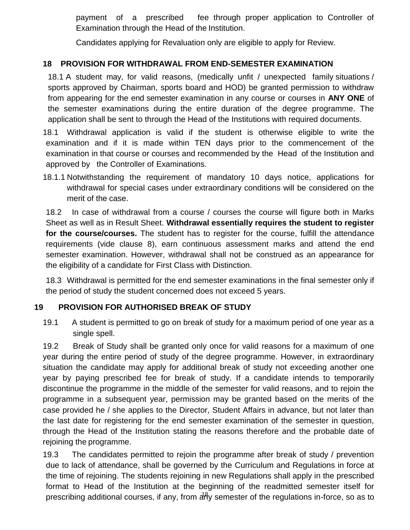payment of a prescribed fee through proper application to Controller of Examination through the Head of the Institution.

Candidates applying for Revaluation only are eligible to apply for Review.

### **18 PROVISION FOR WITHDRAWAL FROM END-SEMESTER EXAMINATION**

18.1 A student may, for valid reasons, (medically unfit / unexpected family situations / sports approved by Chairman, sports board and HOD) be granted permission to withdraw from appearing for the end semester examination in any course or courses in **ANY ONE** of the semester examinations during the entire duration of the degree programme. The application shall be sent to through the Head of the Institutions with required documents.

18.1 Withdrawal application is valid if the student is otherwise eligible to write the examination and if it is made within TEN days prior to the commencement of the examination in that course or courses and recommended by the Head of the Institution and approved by the Controller of Examinations.

18.1.1 Notwithstanding the requirement of mandatory 10 days notice, applications for withdrawal for special cases under extraordinary conditions will be considered on the merit of the case.

18.2 In case of withdrawal from a course / courses the course will figure both in Marks Sheet as well as in Result Sheet. **Withdrawal essentially requires the student to register for the course/courses.** The student has to register for the course, fulfill the attendance requirements (vide clause 8), earn continuous assessment marks and attend the end semester examination. However, withdrawal shall not be construed as an appearance for the eligibility of a candidate for First Class with Distinction.

18.3 Withdrawal is permitted for the end semester examinations in the final semester only if the period of study the student concerned does not exceed 5 years.

#### **19 PROVISION FOR AUTHORISED BREAK OF STUDY**

19.1 A student is permitted to go on break of study for a maximum period of one year as a single spell.

19.2 Break of Study shall be granted only once for valid reasons for a maximum of one year during the entire period of study of the degree programme. However, in extraordinary situation the candidate may apply for additional break of study not exceeding another one year by paying prescribed fee for break of study. If a candidate intends to temporarily discontinue the programme in the middle of the semester for valid reasons, and to rejoin the programme in a subsequent year, permission may be granted based on the merits of the case provided he / she applies to the Director, Student Affairs in advance, but not later than the last date for registering for the end semester examination of the semester in question, through the Head of the Institution stating the reasons therefore and the probable date of rejoining the programme.

prescribing additional courses, if any, from any semester of the regulations in-force, so as to 19.3 The candidates permitted to rejoin the programme after break of study / prevention due to lack of attendance, shall be governed by the Curriculum and Regulations in force at the time of rejoining. The students rejoining in new Regulations shall apply in the prescribed format to Head of the Institution at the beginning of the readmitted semester itself for